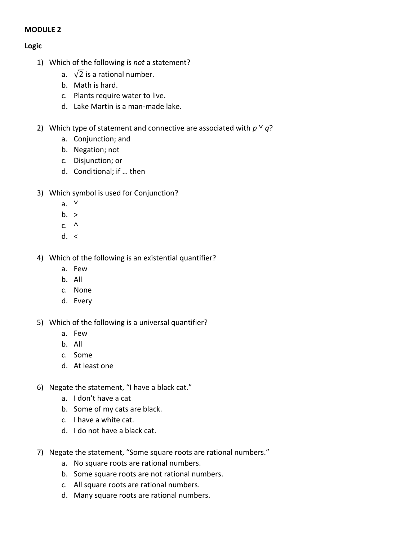## **MODULE 2**

## **Logic**

- 1) Which of the following is *not* a statement?
	- a.  $\sqrt{2}$  is a rational number.
	- b. Math is hard.
	- c. Plants require water to live.
	- d. Lake Martin is a man-made lake.
- 2) Which type of statement and connective are associated with  $p \vee q$ ?
	- a. Conjunction; and
	- b. Negation; not
	- c. Disjunction; or
	- d. Conditional; if … then
- 3) Which symbol is used for Conjunction?
	- $a. \vee$
	- $b. >$
	- c.  $^{\wedge}$
	- $d. <$
- 4) Which of the following is an existential quantifier?
	- a. Few
	- b. All
	- c. None
	- d. Every
- 5) Which of the following is a universal quantifier?
	- a. Few
	- b. All
	- c. Some
	- d. At least one
- 6) Negate the statement, "I have a black cat."
	- a. I don't have a cat
	- b. Some of my cats are black.
	- c. I have a white cat.
	- d. I do not have a black cat.
- 7) Negate the statement, "Some square roots are rational numbers."
	- a. No square roots are rational numbers.
	- b. Some square roots are not rational numbers.
	- c. All square roots are rational numbers.
	- d. Many square roots are rational numbers.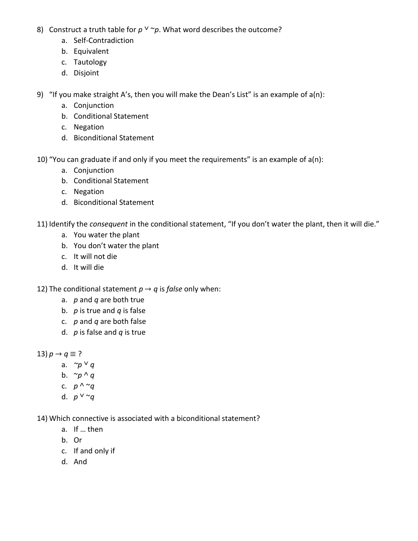- 8) Construct a truth table for  $p \vee \neg p$ . What word describes the outcome?
	- a. Self-Contradiction
	- b. Equivalent
	- c. Tautology
	- d. Disjoint

9) "If you make straight A's, then you will make the Dean's List" is an example of a(n):

- a. Conjunction
- b. Conditional Statement
- c. Negation
- d. Biconditional Statement

10) "You can graduate if and only if you meet the requirements" is an example of  $a(n)$ :

- a. Conjunction
- b. Conditional Statement
- c. Negation
- d. Biconditional Statement

11) Identify the *consequent* in the conditional statement, "If you don't water the plant, then it will die."

- a. You water the plant
- b. You don't water the plant
- c. It will not die
- d. It will die

12) The conditional statement  $p \rightarrow q$  is *false* only when:

- a. *p* and *q* are both true
- b. *p* is true and *q* is false
- c. *p* and *q* are both false
- d. *p* is false and *q* is true
- 13)  $p \rightarrow q \equiv ?$ 
	- a. *~p* ˅ *q*
	- b.  $\sim p \wedge q$
	- c.  $p \wedge \neg q$
	- d.  $p \vee \neg q$

14) Which connective is associated with a biconditional statement?

- a. If … then
- b. Or
- c. If and only if
- d. And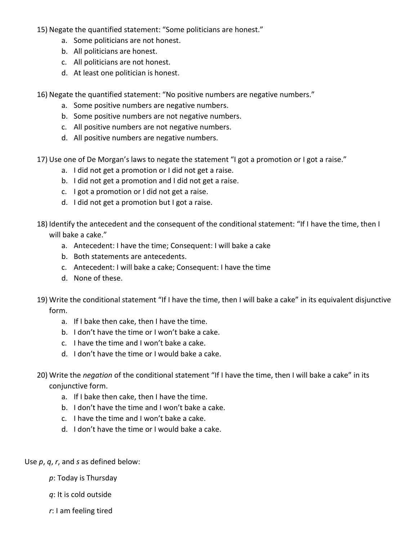- 15) Negate the quantified statement: "Some politicians are honest."
	- a. Some politicians are not honest.
	- b. All politicians are honest.
	- c. All politicians are not honest.
	- d. At least one politician is honest.

16) Negate the quantified statement: "No positive numbers are negative numbers."

- a. Some positive numbers are negative numbers.
- b. Some positive numbers are not negative numbers.
- c. All positive numbers are not negative numbers.
- d. All positive numbers are negative numbers.
- 17) Use one of De Morgan's laws to negate the statement "I got a promotion or I got a raise."
	- a. I did not get a promotion or I did not get a raise.
	- b. I did not get a promotion and I did not get a raise.
	- c. I got a promotion or I did not get a raise.
	- d. I did not get a promotion but I got a raise.
- 18) Identify the antecedent and the consequent of the conditional statement: "If I have the time, then I will bake a cake."
	- a. Antecedent: I have the time; Consequent: I will bake a cake
	- b. Both statements are antecedents.
	- c. Antecedent: I will bake a cake; Consequent: I have the time
	- d. None of these.
- 19) Write the conditional statement "If I have the time, then I will bake a cake" in its equivalent disjunctive form.
	- a. If I bake then cake, then I have the time.
	- b. I don't have the time or I won't bake a cake.
	- c. I have the time and I won't bake a cake.
	- d. I don't have the time or I would bake a cake.
- 20) Write the *negation* of the conditional statement "If I have the time, then I will bake a cake" in its conjunctive form.
	- a. If I bake then cake, then I have the time.
	- b. I don't have the time and I won't bake a cake.
	- c. I have the time and I won't bake a cake.
	- d. I don't have the time or I would bake a cake.

Use *p*, *q*, *r*, and *s* as defined below:

- *p*: Today is Thursday
- *q*: It is cold outside
- *r*: I am feeling tired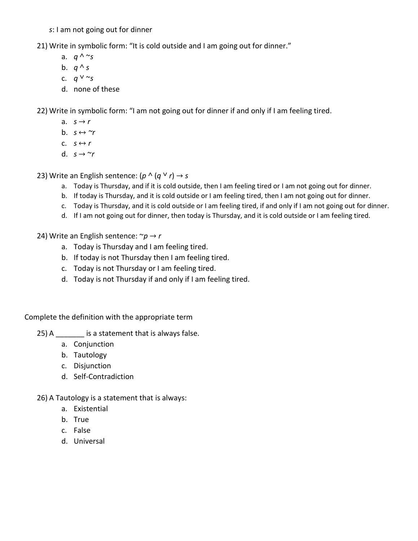*s*: I am not going out for dinner

21) Write in symbolic form: "It is cold outside and I am going out for dinner."

- a.  $q \wedge \sim_S$
- b.  $q \wedge s$
- c.  $q \vee \sim s$
- d. none of these

22) Write in symbolic form: "I am not going out for dinner if and only if I am feeling tired.

- a.  $s \rightarrow r$
- b.  $s \leftrightarrow \gamma r$
- c.  $s \leftrightarrow r$
- d.  $s \rightarrow \gamma r$

23) Write an English sentence:  $(p \wedge (q \vee r) \rightarrow s)$ 

- a. Today is Thursday, and if it is cold outside, then I am feeling tired or I am not going out for dinner.
- b. If today is Thursday, and it is cold outside or I am feeling tired, then I am not going out for dinner.
- c. Today is Thursday, and it is cold outside or I am feeling tired, if and only if I am not going out for dinner.
- d. If I am not going out for dinner, then today is Thursday, and it is cold outside or I am feeling tired.
- 24) Write an English sentence: ~*p* → *r*
	- a. Today is Thursday and I am feeling tired.
	- b. If today is not Thursday then I am feeling tired.
	- c. Today is not Thursday or I am feeling tired.
	- d. Today is not Thursday if and only if I am feeling tired.

Complete the definition with the appropriate term

- 25) A  $\sim$  is a statement that is always false.
	- a. Conjunction
	- b. Tautology
	- c. Disjunction
	- d. Self-Contradiction
- 26) A Tautology is a statement that is always:
	- a. Existential
	- b. True
	- c. False
	- d. Universal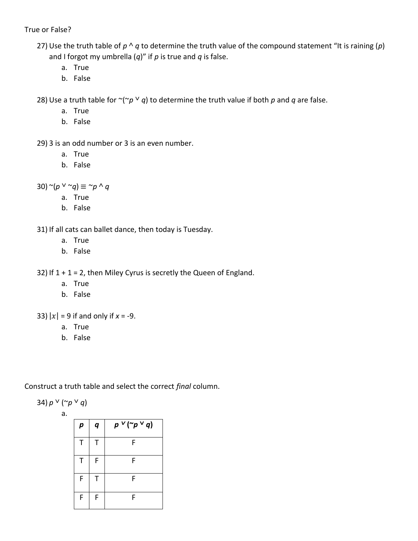True or False?

- 27) Use the truth table of  $p \wedge q$  to determine the truth value of the compound statement "It is raining  $(p)$ and I forgot my umbrella (*q*)" if *p* is true and *q* is false.
	- a. True
	- b. False

28) Use a truth table for  $\sim (\sim p \vee q)$  to determine the truth value if both p and q are false.

- a. True
- b. False
- 29) 3 is an odd number or 3 is an even number.
	- a. True
	- b. False

 $(30)$  ~ $(p \vee \neg q) \equiv \neg p \wedge q$ 

- a. True
- b. False

31) If all cats can ballet dance, then today is Tuesday.

- a. True
- b. False

32) If  $1 + 1 = 2$ , then Miley Cyrus is secretly the Queen of England.

- a. True
- b. False
- 33)  $|x| = 9$  if and only if  $x = -9$ .
	- a. True
	- b. False

Construct a truth table and select the correct *final* column.

34)  $p \vee ( \neg p \vee q)$ 

a.

| р | q | $p \vee (\sim p \vee q)$ |
|---|---|--------------------------|
| т | т | F                        |
| т | F | F                        |
| F | Τ | F                        |
| F | F | F                        |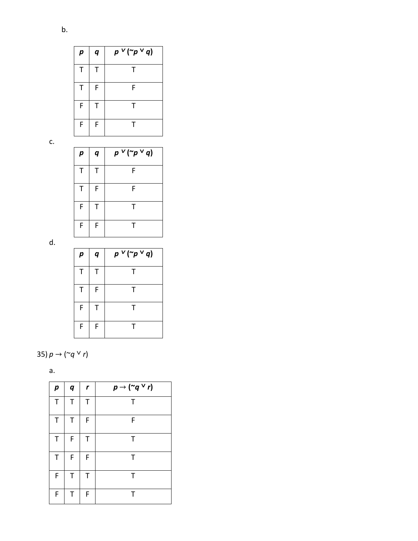| p | q | $p \vee (\sim p \vee q)$ |
|---|---|--------------------------|
| т | т | т                        |
| т | F | F                        |
| F | Τ | т                        |
| F | F |                          |

c.

Π

| р | q | $p \vee (\sim p \vee q)$ |
|---|---|--------------------------|
| т | т | F                        |
| т | F | F                        |
| F | т | т                        |
| F | F | т                        |

d.

| р           | q | $p \vee (\sim p \vee q)$ |
|-------------|---|--------------------------|
| $\mathsf T$ | т | т                        |
| т           | F | т                        |
| F           | т | т                        |
| F           | F | т                        |

35)  $p \rightarrow (\sim q \vee r)$ 

| I<br>٧<br>전 사<br>×<br>. . |  |
|---------------------------|--|
|                           |  |

| p | q | $\mathbf r$ | $p \rightarrow$ (~q $\vee$ r) |
|---|---|-------------|-------------------------------|
| T | Τ | T           | Τ                             |
| Т | Τ | F           | F                             |
| Τ | F | Τ           | Τ                             |
| Τ | F | F           | Τ                             |
| F | Τ | T           | Τ                             |
| F | Т | F           | т                             |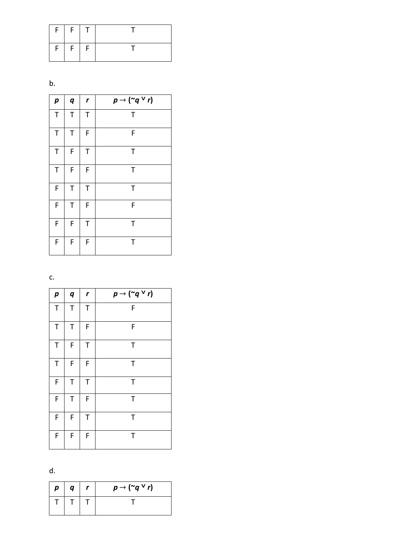|   | $F$ $F$ $T$ |  |
|---|-------------|--|
| F | $F \mid F$  |  |

b.

| $\boldsymbol{p}$ | $\boldsymbol{q}$ | r | $p \rightarrow$ (~q $\vee$ r) |
|------------------|------------------|---|-------------------------------|
| $\top$           | T                | Т | $\mathsf T$                   |
| $\mathsf T$      | $\mathsf T$      | F | F                             |
| T                | F                | Τ | Τ                             |
| $\mathsf T$      | F                | F | Τ                             |
| F                | T                | T | T                             |
| F                | $\mathsf T$      | F | F                             |
| F                | F                | T | T                             |
| F                | F                | F | Τ                             |

c.

| $\boldsymbol{p}$ | $\boldsymbol{q}$ | r | $p \rightarrow$ (~q $\vee$ r) |
|------------------|------------------|---|-------------------------------|
| T                | $\mathsf T$      | Τ | F                             |
| $\mathsf T$      | $\mathsf T$      | F | F                             |
| T                | F                | T | T                             |
| T                | F                | F | Τ                             |
| F                | T                | T | Τ                             |
| F                | Τ                | F | Τ                             |
| F                | F                | T | Τ                             |
| F                | F                | F | Τ                             |

d.

| р | q | $p \rightarrow$ (~q $\vee$ r) |
|---|---|-------------------------------|
|   |   |                               |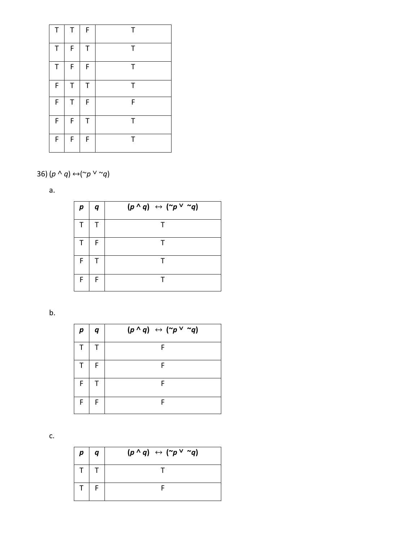| Т | Τ | F | Τ |
|---|---|---|---|
| T | F | Т | Τ |
| Т | F | F | Τ |
| F | T | Т | Τ |
| F | Τ | F | F |
| F | F | Τ | Τ |
| F | F | F | T |

## 36)  $(p \land q) \leftrightarrow (\sim p \lor \sim q)$

a.

| р | q | $(p \wedge q) \leftrightarrow (\sim p \vee \sim q)$ |
|---|---|-----------------------------------------------------|
|   |   | т                                                   |
|   | F |                                                     |
| F |   | $\mathsf{T}$                                        |
| F | F |                                                     |

b.

| р | $\boldsymbol{q}$ | $(p \wedge q) \leftrightarrow (\sim p \vee \sim q)$ |
|---|------------------|-----------------------------------------------------|
|   |                  | F                                                   |
|   | F                | F                                                   |
| F | Т                | F                                                   |
| F | F                | F                                                   |

c.

| $\boldsymbol{p}$ | $\boldsymbol{q}$ | $(p \wedge q) \leftrightarrow (\sim p \vee \sim q)$ |
|------------------|------------------|-----------------------------------------------------|
|                  |                  |                                                     |
|                  |                  |                                                     |